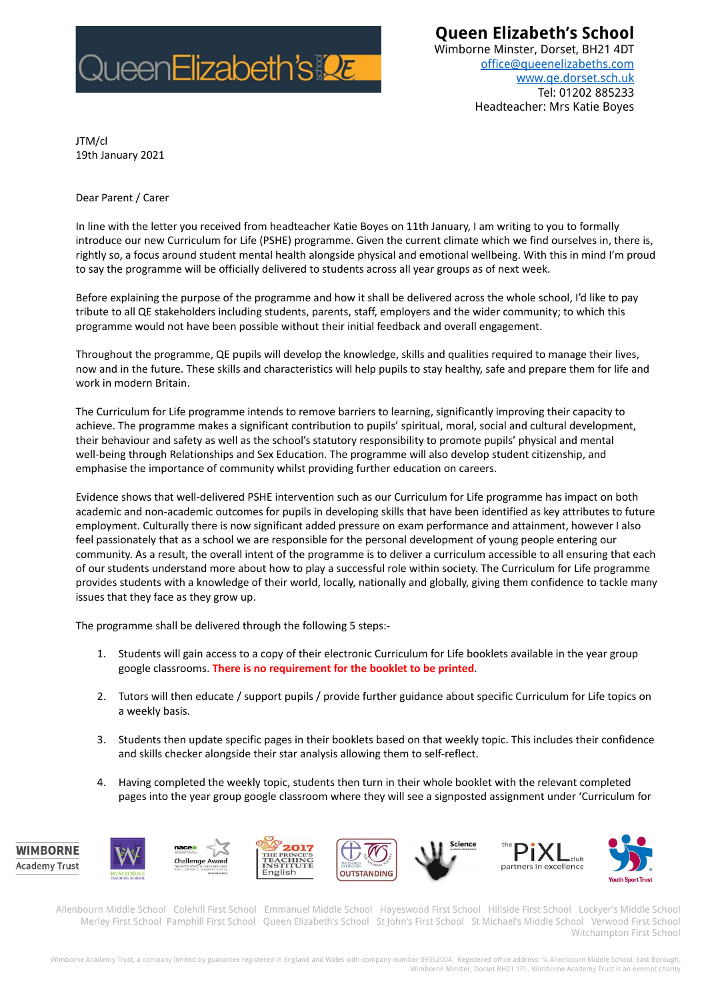

**Queen Elizabeth's School**

Wimborne Minster, Dorset, BH21 4DT [office@queenelizabeths.com](mailto:office@queenelizabeths.com) [www.qe.dorset.sch.uk](http://www.qe.dorset.sch.uk) Tel: 01202 885233 Headteacher: Mrs Katie Boyes

JTM/cl 19th January 2021

Dear Parent / Carer

In line with the letter you received from headteacher Katie Boyes on 11th January, I am writing to you to formally introduce our new Curriculum for Life (PSHE) programme. Given the current climate which we find ourselves in, there is, rightly so, a focus around student mental health alongside physical and emotional wellbeing. With this in mind I'm proud to say the programme will be officially delivered to students across all year groups as of next week.

Before explaining the purpose of the programme and how it shall be delivered across the whole school, I'd like to pay tribute to all QE stakeholders including students, parents, staff, employers and the wider community; to which this programme would not have been possible without their initial feedback and overall engagement.

Throughout the programme, QE pupils will develop the knowledge, skills and qualities required to manage their lives, now and in the future. These skills and characteristics will help pupils to stay healthy, safe and prepare them for life and work in modern Britain.

The Curriculum for Life programme intends to remove barriers to learning, significantly improving their capacity to achieve. The programme makes a significant contribution to pupils' spiritual, moral, social and cultural development, their behaviour and safety as well as the school's statutory responsibility to promote pupils' physical and mental well-being through Relationships and Sex Education. The programme will also develop student citizenship, and emphasise the importance of community whilst providing further education on careers.

Evidence shows that well-delivered PSHE intervention such as our Curriculum for Life programme has impact on both academic and non-academic outcomes for pupils in developing skills that have been identified as key attributes to future employment. Culturally there is now significant added pressure on exam performance and attainment, however I also feel passionately that as a school we are responsible for the personal development of young people entering our community. As a result, the overall intent of the programme is to deliver a curriculum accessible to all ensuring that each of our students understand more about how to play a successful role within society. The Curriculum for Life programme provides students with a knowledge of their world, locally, nationally and globally, giving them confidence to tackle many issues that they face as they grow up.

The programme shall be delivered through the following 5 steps:-

- 1. Students will gain access to a copy of their electronic Curriculum for Life booklets available in the year group google classrooms. **There is no requirement for the booklet to be printed**.
- 2. Tutors will then educate / support pupils / provide further guidance about specific Curriculum for Life topics on a weekly basis.
- 3. Students then update specific pages in their booklets based on that weekly topic. This includes their confidence and skills checker alongside their star analysis allowing them to self-reflect.
- 4. Having completed the weekly topic, students then turn in their whole booklet with the relevant completed pages into the year group google classroom where they will see a signposted assignment under 'Curriculum for



Allenbourn Middle School Colehill First School Emmanuel Middle School Hayeswood First School Hillside First School Lockyer's Middle School Merley First School Pamphill First School Queen Elizabeth's School St John's First School St Michael's Middle School Verwood First School Witchampton First School

Wimborne Academy Trust, a company limited by guarantee registered in England and Wales with company number 09362004. Registered office address: ℅ Allenbourn Middle School, East Borough, Wimborne Minster, Dorset BH21 1PL. Wimborne Academy Trust is an exempt charity